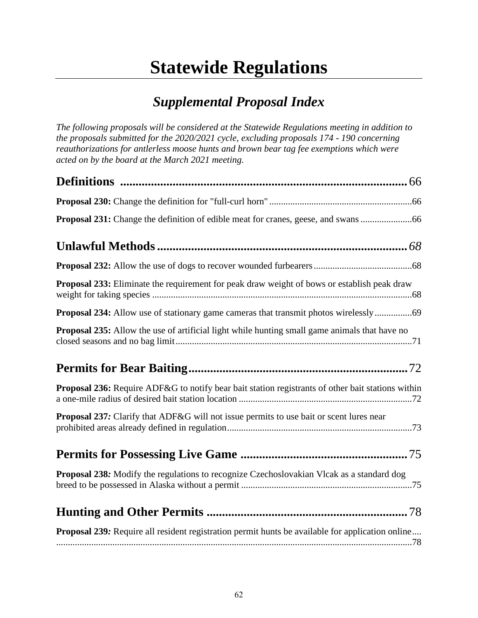## **Statewide Regulations**

## *Supplemental Proposal Index*

*The following proposals will be considered at the Statewide Regulations meeting in addition to the proposals submitted for the 2020/2021 cycle, excluding proposals 174 - 190 concerning reauthorizations for antlerless moose hunts and brown bear tag fee exemptions which were acted on by the board at the March 2021 meeting.* 

| Proposal 231: Change the definition of edible meat for cranes, geese, and swans                          |
|----------------------------------------------------------------------------------------------------------|
|                                                                                                          |
|                                                                                                          |
| Proposal 233: Eliminate the requirement for peak draw weight of bows or establish peak draw              |
| Proposal 234: Allow use of stationary game cameras that transmit photos wirelessly69                     |
| Proposal 235: Allow the use of artificial light while hunting small game animals that have no            |
|                                                                                                          |
| <b>Proposal 236:</b> Require ADF&G to notify bear bait station registrants of other bait stations within |
| <b>Proposal 237:</b> Clarify that ADF&G will not issue permits to use bait or scent lures near           |
|                                                                                                          |
| <b>Proposal 238:</b> Modify the regulations to recognize Czechoslovakian Vlcak as a standard dog         |
|                                                                                                          |
| <b>Proposal 239:</b> Require all resident registration permit hunts be available for application online  |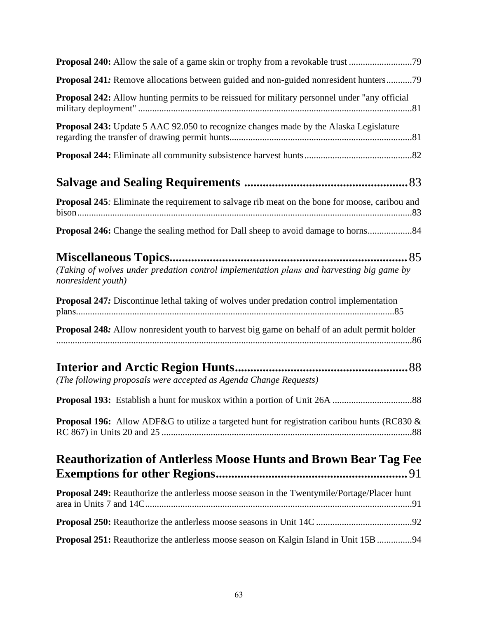| Proposal 240: Allow the sale of a game skin or trophy from a revokable trust 79                                 |
|-----------------------------------------------------------------------------------------------------------------|
| Proposal 241: Remove allocations between guided and non-guided nonresident hunters79                            |
| <b>Proposal 242:</b> Allow hunting permits to be reissued for military personnel under "any official"           |
| Proposal 243: Update 5 AAC 92.050 to recognize changes made by the Alaska Legislature                           |
|                                                                                                                 |
|                                                                                                                 |
| Proposal 245: Eliminate the requirement to salvage rib meat on the bone for moose, caribou and                  |
| Proposal 246: Change the sealing method for Dall sheep to avoid damage to horns                                 |
| (Taking of wolves under predation control implementation plans and harvesting big game by<br>nonresident youth) |
| Proposal 247: Discontinue lethal taking of wolves under predation control implementation                        |
| <b>Proposal 248:</b> Allow nonresident youth to harvest big game on behalf of an adult permit holder            |
| (The following proposals were accepted as Agenda Change Requests)                                               |
|                                                                                                                 |
| <b>Proposal 196:</b> Allow ADF&G to utilize a targeted hunt for registration caribou hunts (RC830 &             |
| <b>Reauthorization of Antlerless Moose Hunts and Brown Bear Tag Fee</b>                                         |
| Proposal 249: Reauthorize the antlerless moose season in the Twentymile/Portage/Placer hunt                     |
|                                                                                                                 |
| Proposal 251: Reauthorize the antlerless moose season on Kalgin Island in Unit 15B 94                           |